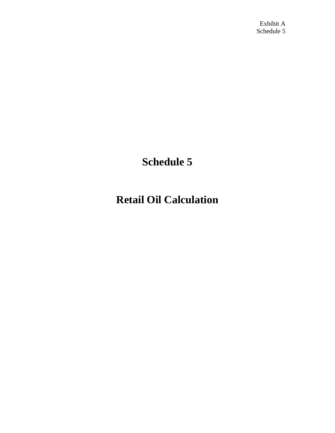## **Schedule 5**

## **Retail Oil Calculation**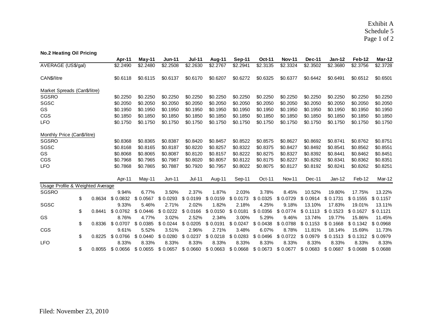Exhibit A Schedule 5 Page 1 of 2

| <b>No.2 Heating Oil Pricing</b>  |    |          |           |           |               |                     |           |                     |               |               |          |               |           |           |
|----------------------------------|----|----------|-----------|-----------|---------------|---------------------|-----------|---------------------|---------------|---------------|----------|---------------|-----------|-----------|
|                                  |    |          | Apr-11    | May-11    | <b>Jun-11</b> | <b>Jul-11</b>       | Aug-11    | Sep-11              | <b>Oct-11</b> | <b>Nov-11</b> | Dec-11   | <b>Jan-12</b> | Feb-12    | Mar-12    |
| AVERAGE (US\$/gal)               |    |          | \$2.2490  | \$2.2480  | \$2.2508      | \$2.2630            | \$2.2767  | \$2.2941            | \$2.3135      | \$2.3324      | \$2,3502 | \$2.3680      | \$2.3756  | \$2.3728  |
| CAN\$/litre                      |    | \$0.6118 | \$0.6115  | \$0.6137  | \$0.6170      | \$0.6207            | \$0.6272  | \$0.6325            | \$0.6377      | \$0.6442      | \$0.6491 | \$0.6512      | \$0.6501  |           |
| Market Spreads (Can\$/litre)     |    |          |           |           |               |                     |           |                     |               |               |          |               |           |           |
| SGSRO                            |    |          | \$0.2250  | \$0.2250  | \$0.2250      | \$0.2250            | \$0.2250  | \$0.2250            | \$0.2250      | \$0.2250      | \$0.2250 | \$0.2250      | \$0.2250  | \$0.2250  |
| SGSC                             |    |          | \$0.2050  | \$0.2050  | \$0.2050      | \$0.2050            | \$0.2050  | \$0.2050            | \$0.2050      | \$0.2050      | \$0.2050 | \$0.2050      | \$0.2050  | \$0.2050  |
| GS                               |    |          | \$0.1950  | \$0.1950  | \$0.1950      | \$0.1950            | \$0.1950  | \$0.1950            | \$0.1950      | \$0.1950      | \$0.1950 | \$0.1950      | \$0.1950  | \$0.1950  |
| CGS                              |    |          | \$0.1850  | \$0.1850  | \$0.1850      | \$0.1850            | \$0.1850  | \$0.1850            | \$0.1850      | \$0.1850      | \$0.1850 | \$0.1850      | \$0.1850  | \$0.1850  |
| <b>LFO</b>                       |    |          | \$0.1750  | \$0.1750  | \$0.1750      | \$0.1750            | \$0.1750  | \$0.1750            | \$0.1750      | \$0.1750      | \$0.1750 | \$0.1750      | \$0.1750  | \$0.1750  |
| Monthly Price (Can\$/litre)      |    |          |           |           |               |                     |           |                     |               |               |          |               |           |           |
| SGSRO                            |    |          | \$0.8368  | \$0.8365  | \$0.8387      | \$0.8420            | \$0.8457  | \$0.8522            | \$0.8575      | \$0.8627      | \$0.8692 | \$0.8741      | \$0.8762  | \$0.8751  |
| SGSC                             |    |          | \$0.8168  | \$0.8165  | \$0.8187      | \$0.8220            | \$0.8257  | \$0.8322            | \$0.8375      | \$0.8427      | \$0.8492 | \$0.8541      | \$0.8562  | \$0.8551  |
| <b>GS</b>                        |    |          | \$0.8068  | \$0.8065  | \$0.8087      | \$0.8120            | \$0.8157  | \$0.8222            | \$0.8275      | \$0.8327      | \$0.8392 | \$0.8441      | \$0.8462  | \$0.8451  |
| CGS                              |    |          | \$0.7968  | \$0.7965  | \$0.7987      | \$0.8020            | \$0.8057  | \$0.8122            | \$0.8175      | \$0.8227      | \$0.8292 | \$0.8341      | \$0.8362  | \$0.8351  |
| <b>LFO</b>                       |    |          | \$0.7868  | \$0.7865  | \$0.7887      | \$0.7920            | \$0.7957  | \$0.8022            | \$0.8075      | \$0.8127      | \$0.8192 | \$0.8241      | \$0.8262  | \$0.8251  |
|                                  |    |          | Apr-11    | May-11    | <b>Jun-11</b> | $Jul-11$            | Aug-11    | Sep-11              | Oct-11        | Nov-11        | Dec-11   | $Jan-12$      | Feb-12    | Mar-12    |
| Usage Profile & Weighted Average |    |          |           |           |               |                     |           |                     |               |               |          |               |           |           |
| <b>SGSRO</b>                     |    |          | 9.94%     | 6.77%     | 3.50%         | 2.37%               | 1.87%     | 2.03%               | 3.78%         | 8.45%         | 10.52%   | 19.80%        | 17.75%    | 13.22%    |
|                                  | \$ | 0.8634   | \$0.0832  | \$0.0567  | \$0.0293      | \$0.0199            | \$0.0159  | \$0.0173            | \$ 0.0325     | \$ 0.0729     | \$0.0914 | \$0.1731      | \$ 0.1555 | \$0.1157  |
| SGSC                             |    |          | 9.33%     | 5.46%     | 2.71%         | 2.02%               | 1.82%     | 2.18%               | 4.25%         | 9.18%         | 13.10%   | 17.83%        | 19.01%    | 13.11%    |
|                                  | \$ | 0.8441   | \$ 0.0762 | \$ 0.0446 |               | $$0.0222$ $$0.0166$ | \$ 0.0150 | \$0.0181            | \$ 0.0356     | \$0.0774      | \$0.1113 | \$0.1523      | \$0.1627  | \$0.1121  |
| <b>GS</b>                        |    |          | 8.76%     | 4.77%     | 3.02%         | 2.52%               | 2.34%     | 3.00%               | 5.29%         | 9.46%         | 13.74%   | 19.77%        | 15.86%    | 11.45%    |
|                                  | \$ | 0.8336   | \$ 0.0707 | \$0.0385  | \$0.0244      | \$ 0.0205           | \$ 0.0191 | \$ 0.0247 \$ 0.0438 |               | \$ 0.0788     | \$0.1153 | \$0.1668      | \$0.1342  | \$ 0.0968 |
| CGS                              |    |          | 9.61%     | 5.52%     | 3.51%         | 2.96%               | 2.71%     | 3.48%               | 6.07%         | 8.78%         | 11.81%   | 18.14%        | 15.69%    | 11.73%    |
|                                  | \$ | 0.8225   | \$0.0766  | \$0.0440  | \$0.0280      | \$0.0237            | \$0.0218  | \$0.0283            | \$0.0496      | \$0.0722      | \$0.0979 | \$0.1513      | \$0.1312  | \$0.0979  |
| <b>LFO</b>                       |    |          | 8.33%     | 8.33%     | 8.33%         | 8.33%               | 8.33%     | 8.33%               | 8.33%         | 8.33%         | 8.33%    | 8.33%         | 8.33%     | 8.33%     |
|                                  | \$ | 0.8055   | \$ 0.0656 | \$0.0655  | \$ 0.0657     | \$ 0.0660           | \$0.0663  | \$0.0668 \$0.0673   |               | \$0.0677      | \$0.0683 | \$0.0687      | \$0.0688  | \$0.0688  |